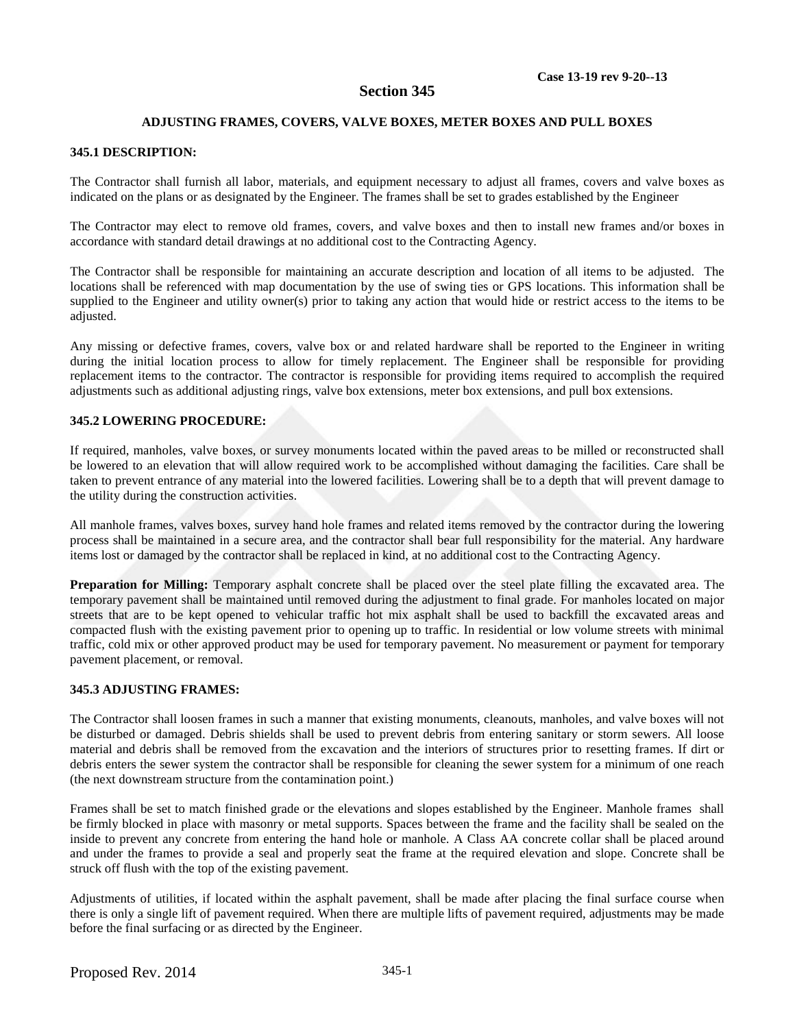# **Section 345**

## **ADJUSTING FRAMES, COVERS, VALVE BOXES, METER BOXES AND PULL BOXES**

## **345.1 DESCRIPTION:**

The Contractor shall furnish all labor, materials, and equipment necessary to adjust all frames, covers and valve boxes as indicated on the plans or as designated by the Engineer. The frames shall be set to grades established by the Engineer

The Contractor may elect to remove old frames, covers, and valve boxes and then to install new frames and/or boxes in accordance with standard detail drawings at no additional cost to the Contracting Agency.

The Contractor shall be responsible for maintaining an accurate description and location of all items to be adjusted. The locations shall be referenced with map documentation by the use of swing ties or GPS locations. This information shall be supplied to the Engineer and utility owner(s) prior to taking any action that would hide or restrict access to the items to be adjusted.

Any missing or defective frames, covers, valve box or and related hardware shall be reported to the Engineer in writing during the initial location process to allow for timely replacement. The Engineer shall be responsible for providing replacement items to the contractor. The contractor is responsible for providing items required to accomplish the required adjustments such as additional adjusting rings, valve box extensions, meter box extensions, and pull box extensions.

#### **345.2 LOWERING PROCEDURE:**

If required, manholes, valve boxes, or survey monuments located within the paved areas to be milled or reconstructed shall be lowered to an elevation that will allow required work to be accomplished without damaging the facilities. Care shall be taken to prevent entrance of any material into the lowered facilities. Lowering shall be to a depth that will prevent damage to the utility during the construction activities.

All manhole frames, valves boxes, survey hand hole frames and related items removed by the contractor during the lowering process shall be maintained in a secure area, and the contractor shall bear full responsibility for the material. Any hardware items lost or damaged by the contractor shall be replaced in kind, at no additional cost to the Contracting Agency.

**Preparation for Milling:** Temporary asphalt concrete shall be placed over the steel plate filling the excavated area. The temporary pavement shall be maintained until removed during the adjustment to final grade. For manholes located on major streets that are to be kept opened to vehicular traffic hot mix asphalt shall be used to backfill the excavated areas and compacted flush with the existing pavement prior to opening up to traffic. In residential or low volume streets with minimal traffic, cold mix or other approved product may be used for temporary pavement. No measurement or payment for temporary pavement placement, or removal.

#### **345.3 ADJUSTING FRAMES:**

The Contractor shall loosen frames in such a manner that existing monuments, cleanouts, manholes, and valve boxes will not be disturbed or damaged. Debris shields shall be used to prevent debris from entering sanitary or storm sewers. All loose material and debris shall be removed from the excavation and the interiors of structures prior to resetting frames. If dirt or debris enters the sewer system the contractor shall be responsible for cleaning the sewer system for a minimum of one reach (the next downstream structure from the contamination point.)

Frames shall be set to match finished grade or the elevations and slopes established by the Engineer. Manhole frames shall be firmly blocked in place with masonry or metal supports. Spaces between the frame and the facility shall be sealed on the inside to prevent any concrete from entering the hand hole or manhole. A Class AA concrete collar shall be placed around and under the frames to provide a seal and properly seat the frame at the required elevation and slope. Concrete shall be struck off flush with the top of the existing pavement.

Adjustments of utilities, if located within the asphalt pavement, shall be made after placing the final surface course when there is only a single lift of pavement required. When there are multiple lifts of pavement required, adjustments may be made before the final surfacing or as directed by the Engineer.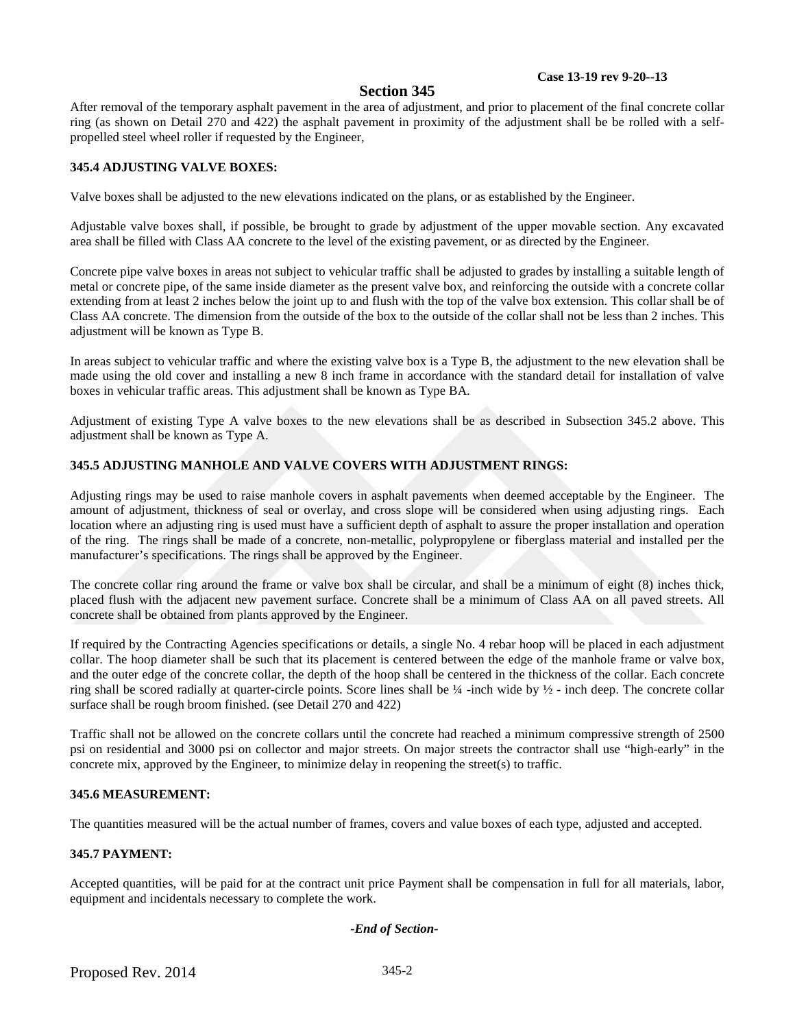#### **Case 13-19 rev 9-20--13**

## **Section 345**

After removal of the temporary asphalt pavement in the area of adjustment, and prior to placement of the final concrete collar ring (as shown on Detail 270 and 422) the asphalt pavement in proximity of the adjustment shall be be rolled with a selfpropelled steel wheel roller if requested by the Engineer,

#### **345.4 ADJUSTING VALVE BOXES:**

Valve boxes shall be adjusted to the new elevations indicated on the plans, or as established by the Engineer.

Adjustable valve boxes shall, if possible, be brought to grade by adjustment of the upper movable section. Any excavated area shall be filled with Class AA concrete to the level of the existing pavement, or as directed by the Engineer.

Concrete pipe valve boxes in areas not subject to vehicular traffic shall be adjusted to grades by installing a suitable length of metal or concrete pipe, of the same inside diameter as the present valve box, and reinforcing the outside with a concrete collar extending from at least 2 inches below the joint up to and flush with the top of the valve box extension. This collar shall be of Class AA concrete. The dimension from the outside of the box to the outside of the collar shall not be less than 2 inches. This adjustment will be known as Type B.

In areas subject to vehicular traffic and where the existing valve box is a Type B, the adjustment to the new elevation shall be made using the old cover and installing a new 8 inch frame in accordance with the standard detail for installation of valve boxes in vehicular traffic areas. This adjustment shall be known as Type BA.

Adjustment of existing Type A valve boxes to the new elevations shall be as described in Subsection 345.2 above. This adjustment shall be known as Type A.

#### **345.5 ADJUSTING MANHOLE AND VALVE COVERS WITH ADJUSTMENT RINGS:**

Adjusting rings may be used to raise manhole covers in asphalt pavements when deemed acceptable by the Engineer. The amount of adjustment, thickness of seal or overlay, and cross slope will be considered when using adjusting rings. Each location where an adjusting ring is used must have a sufficient depth of asphalt to assure the proper installation and operation of the ring. The rings shall be made of a concrete, non-metallic, polypropylene or fiberglass material and installed per the manufacturer's specifications. The rings shall be approved by the Engineer.

The concrete collar ring around the frame or valve box shall be circular, and shall be a minimum of eight (8) inches thick, placed flush with the adjacent new pavement surface. Concrete shall be a minimum of Class AA on all paved streets. All concrete shall be obtained from plants approved by the Engineer.

If required by the Contracting Agencies specifications or details, a single No. 4 rebar hoop will be placed in each adjustment collar. The hoop diameter shall be such that its placement is centered between the edge of the manhole frame or valve box, and the outer edge of the concrete collar, the depth of the hoop shall be centered in the thickness of the collar. Each concrete ring shall be scored radially at quarter-circle points. Score lines shall be ¼ -inch wide by ½ - inch deep. The concrete collar surface shall be rough broom finished. (see Detail 270 and 422)

Traffic shall not be allowed on the concrete collars until the concrete had reached a minimum compressive strength of 2500 psi on residential and 3000 psi on collector and major streets. On major streets the contractor shall use "high-early" in the concrete mix, approved by the Engineer, to minimize delay in reopening the street(s) to traffic.

#### **345.6 MEASUREMENT:**

The quantities measured will be the actual number of frames, covers and value boxes of each type, adjusted and accepted.

#### **345.7 PAYMENT:**

Accepted quantities, will be paid for at the contract unit price Payment shall be compensation in full for all materials, labor, equipment and incidentals necessary to complete the work.

#### *-End of Section-*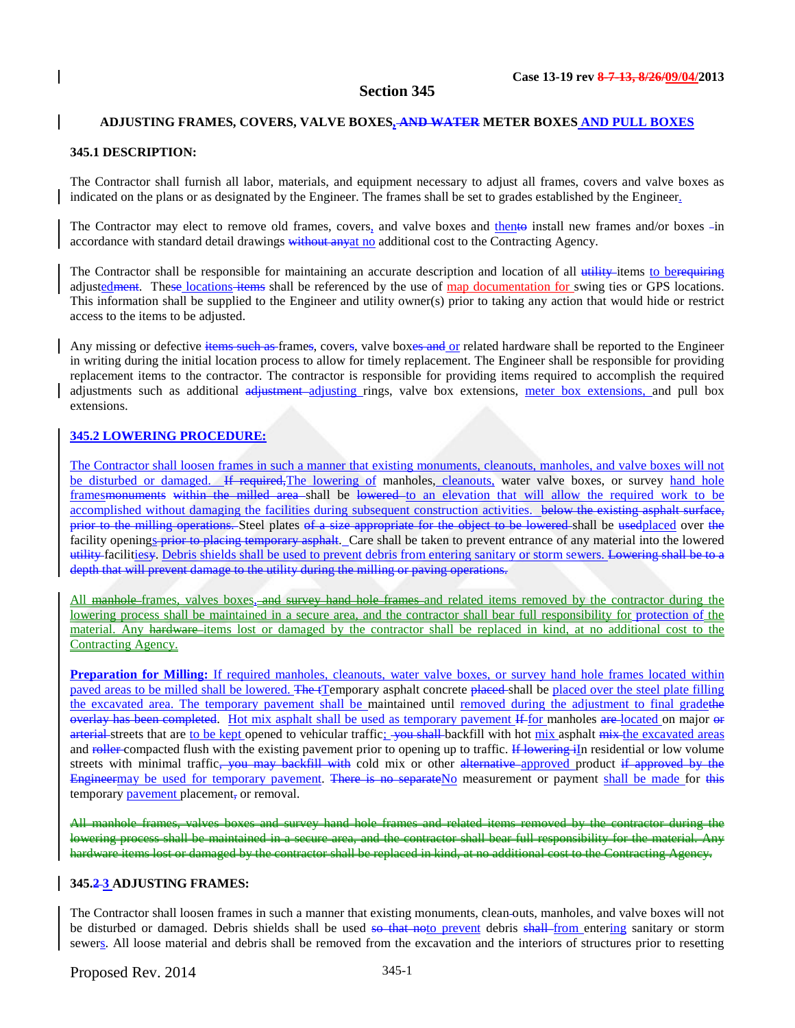#### **Section 345**

#### **ADJUSTING FRAMES, COVERS, VALVE BOXES, AND WATER METER BOXES AND PULL BOXES**

# **345.1 DESCRIPTION:**

The Contractor shall furnish all labor, materials, and equipment necessary to adjust all frames, covers and valve boxes as indicated on the plans or as designated by the Engineer. The frames shall be set to grades established by the Engineer.

The Contractor may elect to remove old frames, covers, and valve boxes and thento install new frames and/or boxes -in accordance with standard detail drawings without any at no additional cost to the Contracting Agency.

The Contractor shall be responsible for maintaining an accurate description and location of all utility items to berequiring adjustedment. These locations items shall be referenced by the use of map documentation for swing ties or GPS locations. This information shall be supplied to the Engineer and utility owner(s) prior to taking any action that would hide or restrict access to the items to be adjusted.

Any missing or defective items such as frames, covers, valve boxes and or related hardware shall be reported to the Engineer in writing during the initial location process to allow for timely replacement. The Engineer shall be responsible for providing replacement items to the contractor. The contractor is responsible for providing items required to accomplish the required adjustments such as additional a<del>djustment</del>-adjusting rings, valve box extensions, meter box extensions, and pull box extensions.

#### **345.2 LOWERING PROCEDURE:**

The Contractor shall loosen frames in such a manner that existing monuments, cleanouts, manholes, and valve boxes will not be disturbed or damaged. If required, The lowering of manholes, cleanouts, water valve boxes, or survey hand hole frames<del>monuments within the milled area</del> shall be lowered to an elevation that will allow the required work to be accomplished without damaging the facilities during subsequent construction activities. below the existing asphalt surface, prior to the milling operations. Steel plates of a size appropriate for the object to be lowered shall be usedplaced over the facility openings prior to placing temporary asphalt. Care shall be taken to prevent entrance of any material into the lowered utility facilitiesy. Debris shields shall be used to prevent debris from entering sanitary or storm sewers. Lowering shall be to a depth that will prevent damage to the utility during the milling or paving operations.

All manhole-frames, valves boxes, and survey hand hole frames and related items removed by the contractor during the lowering process shall be maintained in a secure area, and the contractor shall bear full responsibility for protection of the material. Any hardware items lost or damaged by the contractor shall be replaced in kind, at no additional cost to the Contracting Agency.

**Preparation for Milling:** If required manholes, cleanouts, water valve boxes, or survey hand hole frames located within paved areas to be milled shall be lowered. The tTemporary asphalt concrete placed shall be placed over the steel plate filling the excavated area. The temporary pavement shall be maintained until removed during the adjustment to final gradethe overlay has been completed. Hot mix asphalt shall be used as temporary pavement If for manholes are located on major or arterial streets that are to be kept opened to vehicular traffic; you shall backfill with hot mix asphalt mix the excavated areas and roller compacted flush with the existing pavement prior to opening up to traffic. If lowering iIn residential or low volume streets with minimal traffic<del>, you may backfill with</del> cold mix or other alternative approved product if approved by the Engineermay be used for temporary pavement. There is no separateNo measurement or payment shall be made for this temporary pavement placement, or removal.

All manhole frames, valves boxes and survey hand hole frames and related items removed by the contractor during lowering process shall be maintained in a secure area, and the contractor shall bear full responsibility for the material. hardware items lost or damaged by the contractor shall be replaced in kind, at no additional cost to the Contracting Agency.

#### **345.2 3 ADJUSTING FRAMES:**

The Contractor shall loosen frames in such a manner that existing monuments, clean outs, manholes, and valve boxes will not be disturbed or damaged. Debris shields shall be used so that noto prevent debris shall from entering sanitary or storm sewers. All loose material and debris shall be removed from the excavation and the interiors of structures prior to resetting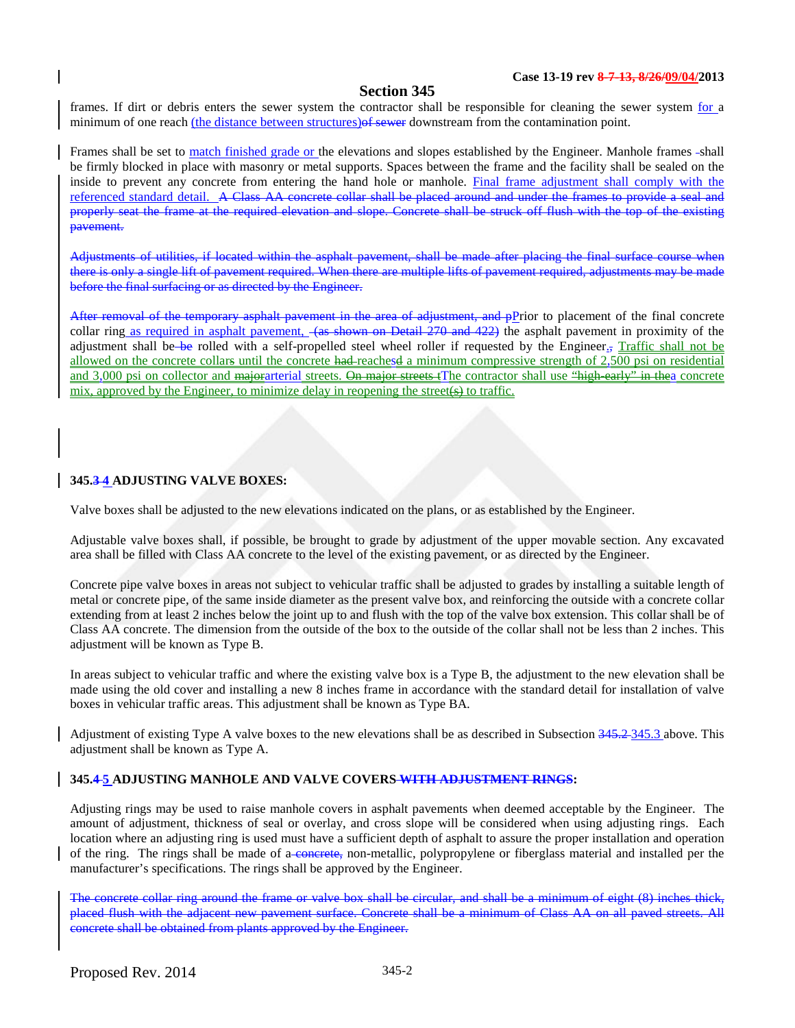# **Section 345**

frames. If dirt or debris enters the sewer system the contractor shall be responsible for cleaning the sewer system for a minimum of one reach (the distance between structures) of sewer downstream from the contamination point.

Frames shall be set to match finished grade or the elevations and slopes established by the Engineer. Manhole frames -shall be firmly blocked in place with masonry or metal supports. Spaces between the frame and the facility shall be sealed on the inside to prevent any concrete from entering the hand hole or manhole. Final frame adjustment shall comply with the referenced standard detail. A Class AA concrete collar shall be placed around and under the frames to provide a seal and properly seat the frame at the required elevation and slope. Concrete shall be struck off flush with the top of the existing pavement.

Adjustments of utilities, if located within the asphalt pavement, shall be made after placing the final surface course when there is only a single lift of pavement required. When there are multiple lifts of pavement required, adjustments may be made before the final surfacing or as directed by the Engineer.

After removal of the temporary asphalt pavement in the area of adjustment, and pPrior to placement of the final concrete collar ring as required in asphalt pavement,  $\left(48\right)$  shown on Detail 270 and 422) the asphalt pavement in proximity of the adjustment shall be be rolled with a self-propelled steel wheel roller if requested by the Engineer., Traffic shall not be allowed on the concrete collars until the concrete had reachesd a minimum compressive strength of 2,500 psi on residential and 3,000 psi on collector and majorarterial streets. On major streets tThe contractor shall use "high-early" in thea concrete mix, approved by the Engineer, to minimize delay in reopening the street(s) to traffic.

## **345.3 4 ADJUSTING VALVE BOXES:**

Valve boxes shall be adjusted to the new elevations indicated on the plans, or as established by the Engineer.

Adjustable valve boxes shall, if possible, be brought to grade by adjustment of the upper movable section. Any excavated area shall be filled with Class AA concrete to the level of the existing pavement, or as directed by the Engineer.

Concrete pipe valve boxes in areas not subject to vehicular traffic shall be adjusted to grades by installing a suitable length of metal or concrete pipe, of the same inside diameter as the present valve box, and reinforcing the outside with a concrete collar extending from at least 2 inches below the joint up to and flush with the top of the valve box extension. This collar shall be of Class AA concrete. The dimension from the outside of the box to the outside of the collar shall not be less than 2 inches. This adjustment will be known as Type B.

In areas subject to vehicular traffic and where the existing valve box is a Type B, the adjustment to the new elevation shall be made using the old cover and installing a new 8 inches frame in accordance with the standard detail for installation of valve boxes in vehicular traffic areas. This adjustment shall be known as Type BA.

Adjustment of existing Type A valve boxes to the new elevations shall be as described in Subsection 345.2 345.3 above. This adjustment shall be known as Type A.

#### **345.4 5 ADJUSTING MANHOLE AND VALVE COVERS WITH ADJUSTMENT RINGS:**

Adjusting rings may be used to raise manhole covers in asphalt pavements when deemed acceptable by the Engineer. The amount of adjustment, thickness of seal or overlay, and cross slope will be considered when using adjusting rings. Each location where an adjusting ring is used must have a sufficient depth of asphalt to assure the proper installation and operation of the ring. The rings shall be made of a concrete, non-metallic, polypropylene or fiberglass material and installed per the manufacturer's specifications. The rings shall be approved by the Engineer.

The concrete collar ring around the frame or valve box shall be circular, and shall be a minimum of eight (8) inches thick,<br>placed flush with the adiacent new payement surface. Concrete shall be a minimum of Class AA on al placed flush with the adjacent new pavement surface. Concrete shall be a minimum of Class AA concrete shall be obtained from plants approved by the Engineer.